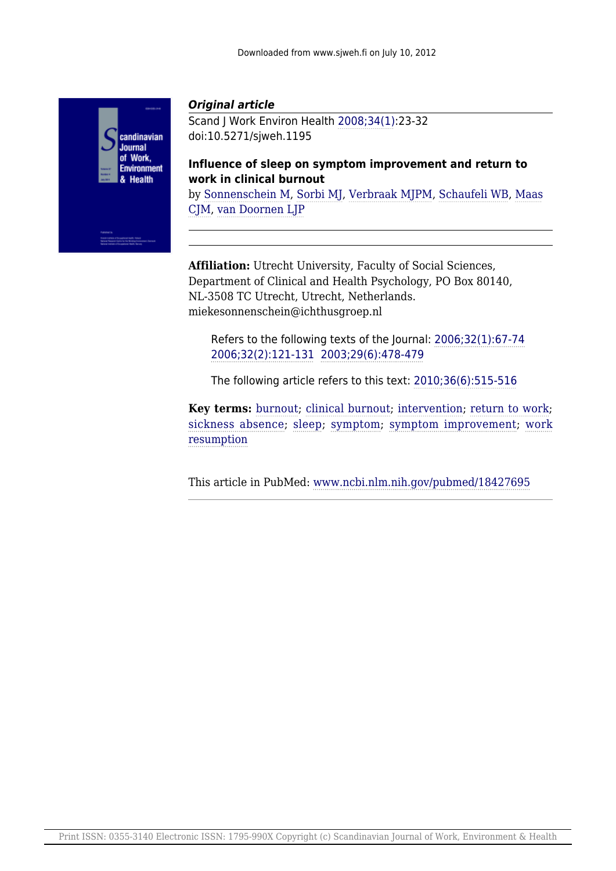

# *Original article*

Scand J Work Environ Health [2008;34\(1\):](D:/www/www.sjweh.fi/show_issue.php?issue_id=117)23-32 doi:10.5271/sjweh.1195

**Influence of sleep on symptom improvement and return to work in clinical burnout**

by [Sonnenschein M,](D:/www/www.sjweh.fi/show_abstract.php?author_id=3077) [Sorbi MJ](D:/www/www.sjweh.fi/show_abstract.php?author_id=3078), [Verbraak MJPM](D:/www/www.sjweh.fi/show_abstract.php?author_id=3079), [Schaufeli WB,](D:/www/www.sjweh.fi/show_abstract.php?author_id=1675) [Maas](D:/www/www.sjweh.fi/show_abstract.php?author_id=3080) [CJM,](D:/www/www.sjweh.fi/show_abstract.php?author_id=3080) [van Doornen LJP](D:/www/www.sjweh.fi/show_abstract.php?author_id=2710)

**Affiliation:** Utrecht University, Faculty of Social Sciences, Department of Clinical and Health Psychology, PO Box 80140, NL-3508 TC Utrecht, Utrecht, Netherlands. miekesonnenschein@ichthusgroep.nl

Refers to the following texts of the Journal: [2006;32\(1\):67-74](D:/www/www.sjweh.fi/show_abstract.php?abstract_id=978) [2006;32\(2\):121-131](D:/www/www.sjweh.fi/show_abstract.php?abstract_id=987) [2003;29\(6\):478-479](D:/www/www.sjweh.fi/show_abstract.php?abstract_id=756)

The following article refers to this text: [2010;36\(6\):515-516](D:/www/www.sjweh.fi/show_abstract.php?abstract_id=3127)

**Key terms:** [burnout](D:/www/www.sjweh.fi/show_abstract.php?keyword_id=1717); [clinical burnout](D:/www/www.sjweh.fi/show_abstract.php?keyword_id=4182); [intervention;](D:/www/www.sjweh.fi/show_abstract.php?keyword_id=1298) [return to work;](D:/www/www.sjweh.fi/show_abstract.php?keyword_id=1123) [sickness absence;](D:/www/www.sjweh.fi/show_abstract.php?keyword_id=871) [sleep](D:/www/www.sjweh.fi/show_abstract.php?keyword_id=434); [symptom;](D:/www/www.sjweh.fi/show_abstract.php?keyword_id=765) [symptom improvement](D:/www/www.sjweh.fi/show_abstract.php?keyword_id=4183); [work](D:/www/www.sjweh.fi/show_abstract.php?keyword_id=4181) [resumption](D:/www/www.sjweh.fi/show_abstract.php?keyword_id=4181)

This article in PubMed: [www.ncbi.nlm.nih.gov/pubmed/18427695](http://www.ncbi.nlm.nih.gov/pubmed/18427695)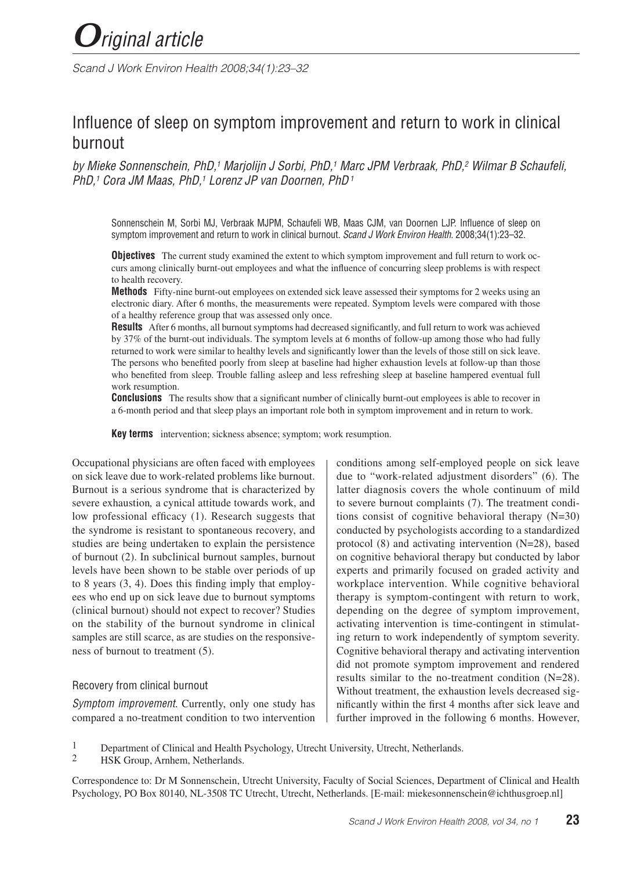*Scand J Work Environ Health 2008;34(1):23–32*

# Influence of sleep on symptom improvement and return to work in clinical burnout

*by Mieke Sonnenschein, PhD,1 Marjolijn J Sorbi, PhD,1 Marc JPM Verbraak, PhD,2 Wilmar B Schaufeli, PhD,1 Cora JM Maas, PhD,1 Lorenz JP van Doornen, PhD 1*

Sonnenschein M, Sorbi MJ, Verbraak MJPM, Schaufeli WB, Maas CJM, van Doornen LJP. Influence of sleep on symptom improvement and return to work in clinical burnout. *Scand J Work Environ Health*. 2008;34(1):23–32.

**Objectives** The current study examined the extent to which symptom improvement and full return to work occurs among clinically burnt-out employees and what the influence of concurring sleep problems is with respect to health recovery.

**Methods** Fifty-nine burnt-out employees on extended sick leave assessed their symptoms for 2 weeks using an electronic diary. After 6 months, the measurements were repeated. Symptom levels were compared with those of a healthy reference group that was assessed only once.

**Results** After 6 months, all burnout symptoms had decreased significantly, and full return to work was achieved by 37% of the burnt-out individuals. The symptom levels at 6 months of follow-up among those who had fully returned to work were similar to healthy levels and significantly lower than the levels of those still on sick leave. The persons who benefited poorly from sleep at baseline had higher exhaustion levels at follow-up than those who benefited from sleep. Trouble falling asleep and less refreshing sleep at baseline hampered eventual full work resumption.

**Conclusions** The results show that a significant number of clinically burnt-out employees is able to recover in a 6-month period and that sleep plays an important role both in symptom improvement and in return to work.

**Key terms** intervention; sickness absence; symptom; work resumption.

Occupational physicians are often faced with employees on sick leave due to work-related problems like burnout. Burnout is a serious syndrome that is characterized by severe exhaustion*,* a cynical attitude towards work, and low professional efficacy (1). Research suggests that the syndrome is resistant to spontaneous recovery, and studies are being undertaken to explain the persistence of burnout (2). In subclinical burnout samples, burnout levels have been shown to be stable over periods of up to 8 years (3, 4). Does this finding imply that employees who end up on sick leave due to burnout symptoms (clinical burnout) should not expect to recover? Studies on the stability of the burnout syndrome in clinical samples are still scarce, as are studies on the responsiveness of burnout to treatment (5).

#### Recovery from clinical burnout

*Symptom improvement.* Currently, only one study has compared a no-treatment condition to two intervention conditions among self-employed people on sick leave due to "work-related adjustment disorders" (6). The latter diagnosis covers the whole continuum of mild to severe burnout complaints (7). The treatment conditions consist of cognitive behavioral therapy (N=30) conducted by psychologists according to a standardized protocol (8) and activating intervention (N=28), based on cognitive behavioral therapy but conducted by labor experts and primarily focused on graded activity and workplace intervention. While cognitive behavioral therapy is symptom-contingent with return to work, depending on the degree of symptom improvement, activating intervention is time-contingent in stimulating return to work independently of symptom severity. Cognitive behavioral therapy and activating intervention did not promote symptom improvement and rendered results similar to the no-treatment condition (N=28). Without treatment, the exhaustion levels decreased significantly within the first 4 months after sick leave and further improved in the following 6 months. However,

- 1 Department of Clinical and Health Psychology, Utrecht University, Utrecht, Netherlands.<br>2 HSK Group Arnhem Netherlands
- HSK Group, Arnhem, Netherlands.

Correspondence to: Dr M Sonnenschein, Utrecht University, Faculty of Social Sciences, Department of Clinical and Health Psychology, PO Box 80140, NL-3508 TC Utrecht, Utrecht, Netherlands. [E-mail: miekesonnenschein@ichthusgroep.nl]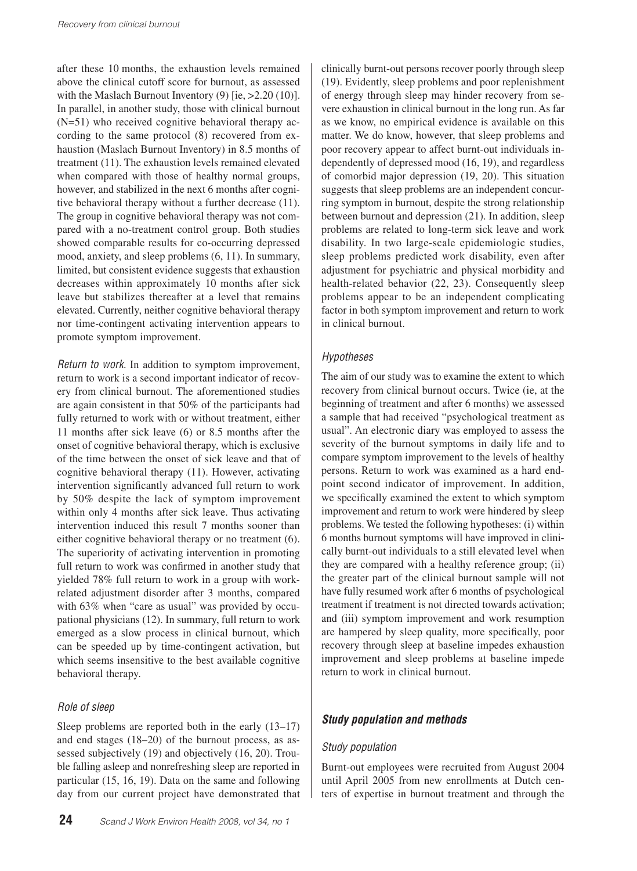after these 10 months, the exhaustion levels remained above the clinical cutoff score for burnout, as assessed with the Maslach Burnout Inventory  $(9)$  [ie,  $>2.20$  (10)]. In parallel, in another study, those with clinical burnout (N=51) who received cognitive behavioral therapy according to the same protocol (8) recovered from exhaustion (Maslach Burnout Inventory) in 8.5 months of treatment (11). The exhaustion levels remained elevated when compared with those of healthy normal groups, however, and stabilized in the next 6 months after cognitive behavioral therapy without a further decrease (11). The group in cognitive behavioral therapy was not compared with a no-treatment control group. Both studies showed comparable results for co-occurring depressed mood, anxiety, and sleep problems (6, 11). In summary, limited, but consistent evidence suggests that exhaustion decreases within approximately 10 months after sick leave but stabilizes thereafter at a level that remains elevated. Currently, neither cognitive behavioral therapy nor time-contingent activating intervention appears to promote symptom improvement.

*Return to work.* In addition to symptom improvement, return to work is a second important indicator of recovery from clinical burnout. The aforementioned studies are again consistent in that 50% of the participants had fully returned to work with or without treatment, either 11 months after sick leave (6) or 8.5 months after the onset of cognitive behavioral therapy, which is exclusive of the time between the onset of sick leave and that of cognitive behavioral therapy (11). However, activating intervention significantly advanced full return to work by 50% despite the lack of symptom improvement within only 4 months after sick leave. Thus activating intervention induced this result 7 months sooner than either cognitive behavioral therapy or no treatment (6). The superiority of activating intervention in promoting full return to work was confirmed in another study that yielded 78% full return to work in a group with workrelated adjustment disorder after 3 months, compared with 63% when "care as usual" was provided by occupational physicians (12). In summary, full return to work emerged as a slow process in clinical burnout, which can be speeded up by time-contingent activation, but which seems insensitive to the best available cognitive behavioral therapy.

## *Role of sleep*

Sleep problems are reported both in the early (13–17) and end stages (18–20) of the burnout process, as assessed subjectively (19) and objectively (16, 20). Trouble falling asleep and nonrefreshing sleep are reported in particular (15, 16, 19). Data on the same and following day from our current project have demonstrated that

clinically burnt-out persons recover poorly through sleep (19). Evidently, sleep problems and poor replenishment of energy through sleep may hinder recovery from severe exhaustion in clinical burnout in the long run. As far as we know, no empirical evidence is available on this matter. We do know, however, that sleep problems and poor recovery appear to affect burnt-out individuals independently of depressed mood (16, 19), and regardless of comorbid major depression (19, 20). This situation suggests that sleep problems are an independent concurring symptom in burnout, despite the strong relationship between burnout and depression (21). In addition, sleep problems are related to long-term sick leave and work disability. In two large-scale epidemiologic studies, sleep problems predicted work disability, even after adjustment for psychiatric and physical morbidity and health-related behavior (22, 23). Consequently sleep problems appear to be an independent complicating factor in both symptom improvement and return to work in clinical burnout.

## *Hypotheses*

The aim of our study was to examine the extent to which recovery from clinical burnout occurs. Twice (ie, at the beginning of treatment and after 6 months) we assessed a sample that had received "psychological treatment as usual". An electronic diary was employed to assess the severity of the burnout symptoms in daily life and to compare symptom improvement to the levels of healthy persons. Return to work was examined as a hard endpoint second indicator of improvement. In addition, we specifically examined the extent to which symptom improvement and return to work were hindered by sleep problems. We tested the following hypotheses: (i) within 6 months burnout symptoms will have improved in clinically burnt-out individuals to a still elevated level when they are compared with a healthy reference group; (ii) the greater part of the clinical burnout sample will not have fully resumed work after 6 months of psychological treatment if treatment is not directed towards activation; and (iii) symptom improvement and work resumption are hampered by sleep quality, more specifically, poor recovery through sleep at baseline impedes exhaustion improvement and sleep problems at baseline impede return to work in clinical burnout.

# *Study population and methods*

## *Study population*

Burnt-out employees were recruited from August 2004 until April 2005 from new enrollments at Dutch centers of expertise in burnout treatment and through the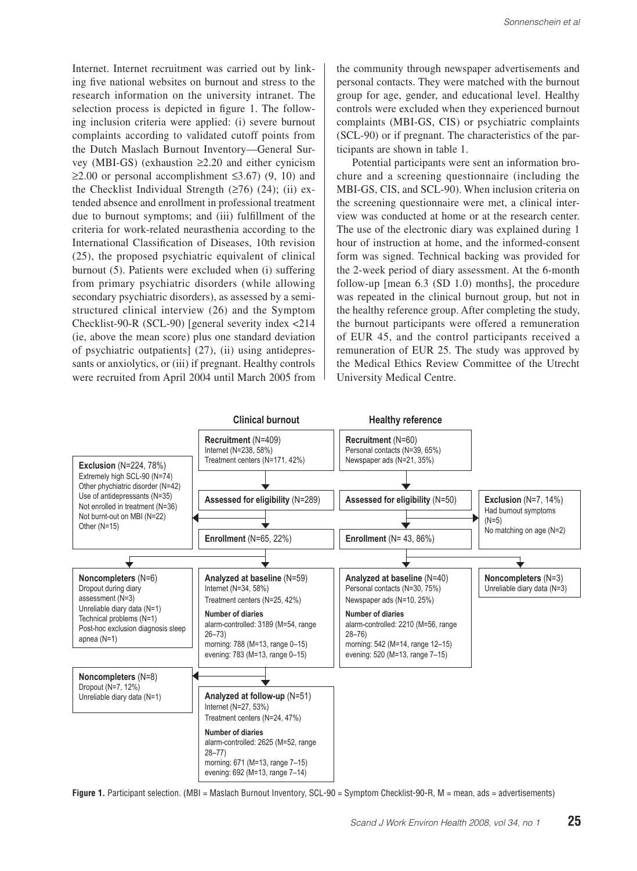Internet. Internet recruitment was carried out by linking five national websites on burnout and stress to the research information on the university intranet. The selection process is depicted in figure 1. The following inclusion criteria were applied: (i) severe burnout complaints according to validated cutoff points from the Dutch Maslach Burnout Inventory—General Survey (MBI-GS) (exhaustion ≥2.20 and either cynicism  $≥2.00$  or personal accomplishment ≤3.67) (9, 10) and the Checklist Individual Strength  $(≥76)$   $(24)$ ; (ii) extended absence and enrollment in professional treatment due to burnout symptoms; and (iii) fulfillment of the criteria for work-related neurasthenia according to the International Classification of Diseases, 10th revision (25), the proposed psychiatric equivalent of clinical burnout (5). Patients were excluded when (i) suffering from primary psychiatric disorders (while allowing secondary psychiatric disorders), as assessed by a semistructured clinical interview (26) and the Symptom Checklist-90-R (SCL-90) [general severity index <214 (ie, above the mean score) plus one standard deviation of psychiatric outpatients] (27), (ii) using antidepressants or anxiolytics, or (iii) if pregnant. Healthy controls were recruited from April 2004 until March 2005 from

the community through newspaper advertisements and personal contacts. They were matched with the burnout group for age, gender, and educational level. Healthy controls were excluded when they experienced burnout complaints (MBI-GS, CIS) or psychiatric complaints (SCL-90) or if pregnant. The characteristics of the participants are shown in table 1.

Potential participants were sent an information brochure and a screening questionnaire (including the MBI-GS, CIS, and SCL-90). When inclusion criteria on the screening questionnaire were met, a clinical interview was conducted at home or at the research center. The use of the electronic diary was explained during 1 hour of instruction at home, and the informed-consent form was signed. Technical backing was provided for the 2-week period of diary assessment. At the 6-month follow-up [mean 6.3 (SD 1.0) months], the procedure was repeated in the clinical burnout group, but not in the healthy reference group. After completing the study, the burnout participants were offered a remuneration of EUR 45, and the control participants received a remuneration of EUR 25. The study was approved by the Medical Ethics Review Committee of the Utrecht University Medical Centre.



**Figure 1.** Participant selection. (MBI = Maslach Burnout Inventory, SCL-90 = Symptom Checklist-90-R, M = mean, ads = advertisements)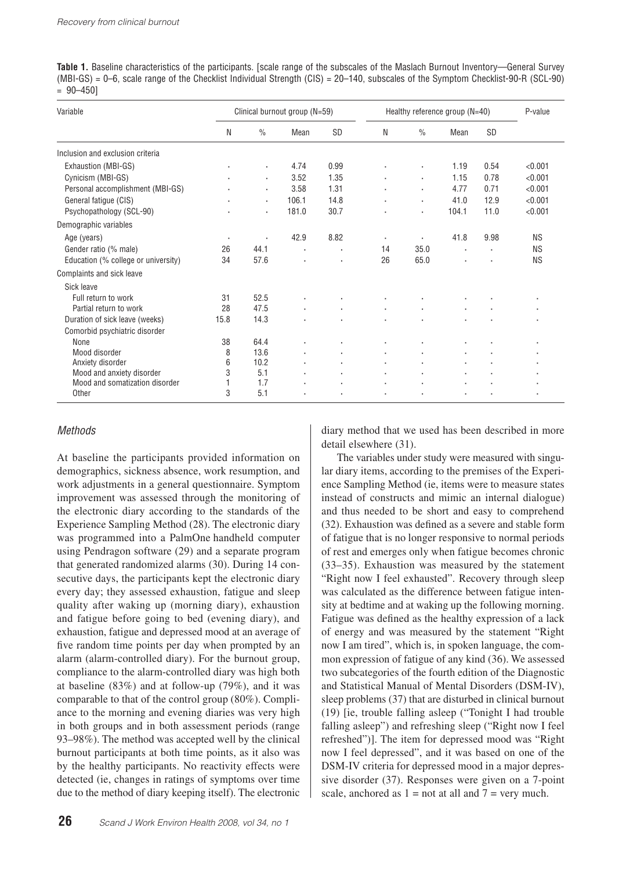|              |  |  |  |  |  |  |  |  |  | <b>Table 1.</b> Baseline characteristics of the participants. [scale range of the subscales of the Maslach Burnout Inventory—General Survey |
|--------------|--|--|--|--|--|--|--|--|--|---------------------------------------------------------------------------------------------------------------------------------------------|
|              |  |  |  |  |  |  |  |  |  | $(MBI-GS) = 0-6$ , scale range of the Checklist Individual Strength $(CIS) = 20-140$ , subscales of the Symptom Checklist-90-R (SCL-90)     |
| $= 90 - 450$ |  |  |  |  |  |  |  |  |  |                                                                                                                                             |

| Variable                            |         |                | Clinical burnout group (N=59) |           | Healthy reference group (N=40) | P-value        |       |           |           |
|-------------------------------------|---------|----------------|-------------------------------|-----------|--------------------------------|----------------|-------|-----------|-----------|
|                                     | N       | $\frac{0}{0}$  | Mean                          | <b>SD</b> | N                              | $\frac{0}{0}$  | Mean  | <b>SD</b> |           |
| Inclusion and exclusion criteria    |         |                |                               |           |                                |                |       |           |           |
| Exhaustion (MBI-GS)                 |         |                | 4.74                          | 0.99      |                                |                | 1.19  | 0.54      | < 0.001   |
| Cynicism (MBI-GS)                   |         | ٠              | 3.52                          | 1.35      |                                | $\blacksquare$ | 1.15  | 0.78      | < 0.001   |
| Personal accomplishment (MBI-GS)    |         | ٠              | 3.58                          | 1.31      |                                |                | 4.77  | 0.71      | < 0.001   |
| General fatigue (CIS)               |         | $\blacksquare$ | 106.1                         | 14.8      |                                | $\blacksquare$ | 41.0  | 12.9      | < 0.001   |
| Psychopathology (SCL-90)            |         | ٠              | 181.0                         | 30.7      |                                |                | 104.1 | 11.0      | < 0.001   |
| Demographic variables               |         |                |                               |           |                                |                |       |           |           |
| Age (years)                         | $\cdot$ | ٠              | 42.9                          | 8.82      | ٠                              |                | 41.8  | 9.98      | <b>NS</b> |
| Gender ratio (% male)               | 26      | 44.1           | $\cdot$                       | ٠         | 14                             | 35.0           | ٠     | ٠         | <b>NS</b> |
| Education (% college or university) | 34      | 57.6           |                               |           | 26                             | 65.0           |       |           | <b>NS</b> |
| Complaints and sick leave           |         |                |                               |           |                                |                |       |           |           |
| Sick leave                          |         |                |                               |           |                                |                |       |           |           |
| Full return to work                 | 31      | 52.5           |                               |           |                                |                |       |           | $\cdot$   |
| Partial return to work              | 28      | 47.5           |                               |           |                                |                |       |           |           |
| Duration of sick leave (weeks)      | 15.8    | 14.3           |                               |           |                                |                |       |           |           |
| Comorbid psychiatric disorder       |         |                |                               |           |                                |                |       |           |           |
| None                                | 38      | 64.4           |                               |           | $\overline{\phantom{a}}$       |                |       |           | $\cdot$   |
| Mood disorder                       | 8       | 13.6           |                               | ٠         |                                |                |       |           |           |
| Anxiety disorder                    | 6       | 10.2           |                               |           |                                |                |       |           |           |
| Mood and anxiety disorder           | 3       | 5.1            |                               |           |                                |                |       |           |           |
| Mood and somatization disorder      |         | 1.7            |                               |           |                                |                |       |           |           |
| Other                               | 3       | 5.1            |                               |           |                                |                |       |           |           |

#### *Methods*

At baseline the participants provided information on demographics, sickness absence, work resumption, and work adjustments in a general questionnaire. Symptom improvement was assessed through the monitoring of the electronic diary according to the standards of the Experience Sampling Method (28). The electronic diary was programmed into a PalmOne handheld computer using Pendragon software (29) and a separate program that generated randomized alarms (30). During 14 consecutive days, the participants kept the electronic diary every day; they assessed exhaustion, fatigue and sleep quality after waking up (morning diary), exhaustion and fatigue before going to bed (evening diary), and exhaustion, fatigue and depressed mood at an average of five random time points per day when prompted by an alarm (alarm-controlled diary). For the burnout group, compliance to the alarm-controlled diary was high both at baseline (83%) and at follow-up (79%), and it was comparable to that of the control group (80%). Compliance to the morning and evening diaries was very high in both groups and in both assessment periods (range 93–98%). The method was accepted well by the clinical burnout participants at both time points, as it also was by the healthy participants. No reactivity effects were detected (ie, changes in ratings of symptoms over time due to the method of diary keeping itself). The electronic diary method that we used has been described in more detail elsewhere (31).

The variables under study were measured with singular diary items, according to the premises of the Experience Sampling Method (ie, items were to measure states instead of constructs and mimic an internal dialogue) and thus needed to be short and easy to comprehend (32). Exhaustion was defined as a severe and stable form of fatigue that is no longer responsive to normal periods of rest and emerges only when fatigue becomes chronic (33–35). Exhaustion was measured by the statement "Right now I feel exhausted". Recovery through sleep was calculated as the difference between fatigue intensity at bedtime and at waking up the following morning. Fatigue was defined as the healthy expression of a lack of energy and was measured by the statement "Right now I am tired", which is, in spoken language, the common expression of fatigue of any kind (36). We assessed two subcategories of the fourth edition of the Diagnostic and Statistical Manual of Mental Disorders (DSM-IV), sleep problems (37) that are disturbed in clinical burnout (19) [ie, trouble falling asleep ("Tonight I had trouble falling asleep") and refreshing sleep ("Right now I feel refreshed")]. The item for depressed mood was "Right now I feel depressed", and it was based on one of the DSM-IV criteria for depressed mood in a major depressive disorder (37). Responses were given on a 7-point scale, anchored as  $1 = not$  at all and  $7 = very$  much.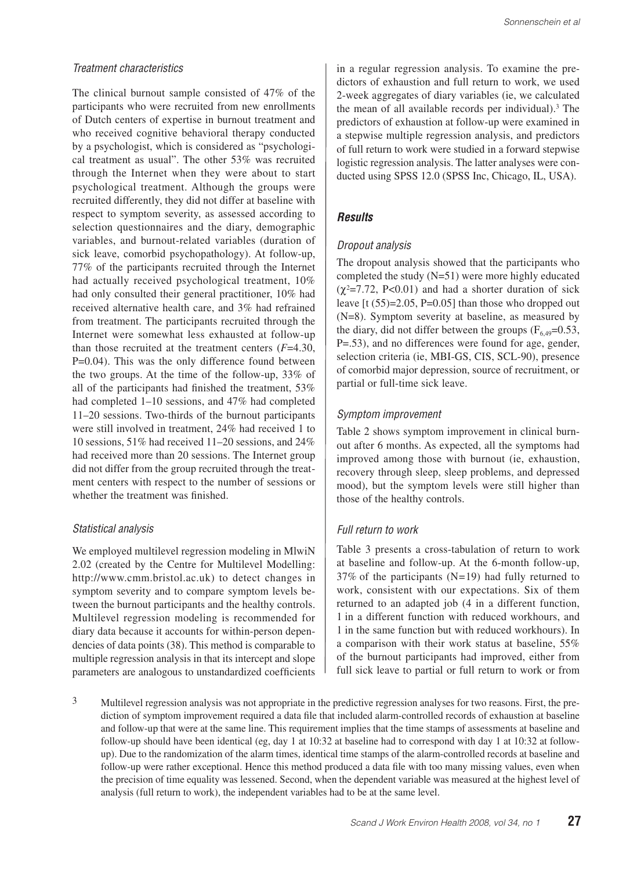#### *Treatment characteristics*

The clinical burnout sample consisted of 47% of the participants who were recruited from new enrollments of Dutch centers of expertise in burnout treatment and who received cognitive behavioral therapy conducted by a psychologist, which is considered as "psychological treatment as usual". The other 53% was recruited through the Internet when they were about to start psychological treatment. Although the groups were recruited differently, they did not differ at baseline with respect to symptom severity, as assessed according to selection questionnaires and the diary, demographic variables, and burnout-related variables (duration of sick leave, comorbid psychopathology). At follow-up, 77% of the participants recruited through the Internet had actually received psychological treatment, 10% had only consulted their general practitioner, 10% had received alternative health care, and 3% had refrained from treatment. The participants recruited through the Internet were somewhat less exhausted at follow-up than those recruited at the treatment centers (*F*=4.30, P=0.04). This was the only difference found between the two groups. At the time of the follow-up, 33% of all of the participants had finished the treatment, 53% had completed 1–10 sessions, and 47% had completed 11–20 sessions. Two-thirds of the burnout participants were still involved in treatment, 24% had received 1 to 10 sessions, 51% had received 11–20 sessions, and 24% had received more than 20 sessions. The Internet group did not differ from the group recruited through the treatment centers with respect to the number of sessions or whether the treatment was finished.

#### *Statistical analysis*

We employed multilevel regression modeling in MlwiN 2.02 (created by the Centre for Multilevel Modelling: http://www.cmm.bristol.ac.uk) to detect changes in symptom severity and to compare symptom levels between the burnout participants and the healthy controls. Multilevel regression modeling is recommended for diary data because it accounts for within-person dependencies of data points (38). This method is comparable to multiple regression analysis in that its intercept and slope parameters are analogous to unstandardized coefficients in a regular regression analysis. To examine the predictors of exhaustion and full return to work, we used 2-week aggregates of diary variables (ie, we calculated the mean of all available records per individual).<sup>3</sup> The predictors of exhaustion at follow-up were examined in a stepwise multiple regression analysis, and predictors of full return to work were studied in a forward stepwise logistic regression analysis. The latter analyses were conducted using SPSS 12.0 (SPSS Inc, Chicago, IL, USA).

## *Results*

#### *Dropout analysis*

The dropout analysis showed that the participants who completed the study (N=51) were more highly educated  $(\gamma^2=7.72, P<0.01)$  and had a shorter duration of sick leave  $[t (55)=2.05, P=0.05]$  than those who dropped out (N=8). Symptom severity at baseline, as measured by the diary, did not differ between the groups  $(F_{6,49}=0.53)$ , P=.53), and no differences were found for age, gender, selection criteria (ie, MBI-GS, CIS, SCL-90), presence of comorbid major depression, source of recruitment, or partial or full-time sick leave.

## *Symptom improvement*

Table 2 shows symptom improvement in clinical burnout after 6 months. As expected, all the symptoms had improved among those with burnout (ie, exhaustion, recovery through sleep, sleep problems, and depressed mood), but the symptom levels were still higher than those of the healthy controls.

## *Full return to work*

Table 3 presents a cross-tabulation of return to work at baseline and follow-up. At the 6-month follow-up, 37% of the participants (N*=*19) had fully returned to work, consistent with our expectations. Six of them returned to an adapted job (4 in a different function, 1 in a different function with reduced workhours, and 1 in the same function but with reduced workhours). In a comparison with their work status at baseline, 55% of the burnout participants had improved, either from full sick leave to partial or full return to work or from

<sup>3</sup> Multilevel regression analysis was not appropriate in the predictive regression analyses for two reasons. First, the prediction of symptom improvement required a data file that included alarm-controlled records of exhaustion at baseline and follow-up that were at the same line. This requirement implies that the time stamps of assessments at baseline and follow-up should have been identical (eg, day 1 at 10:32 at baseline had to correspond with day 1 at 10:32 at followup). Due to the randomization of the alarm times, identical time stamps of the alarm-controlled records at baseline and follow-up were rather exceptional. Hence this method produced a data file with too many missing values, even when the precision of time equality was lessened. Second, when the dependent variable was measured at the highest level of analysis (full return to work), the independent variables had to be at the same level.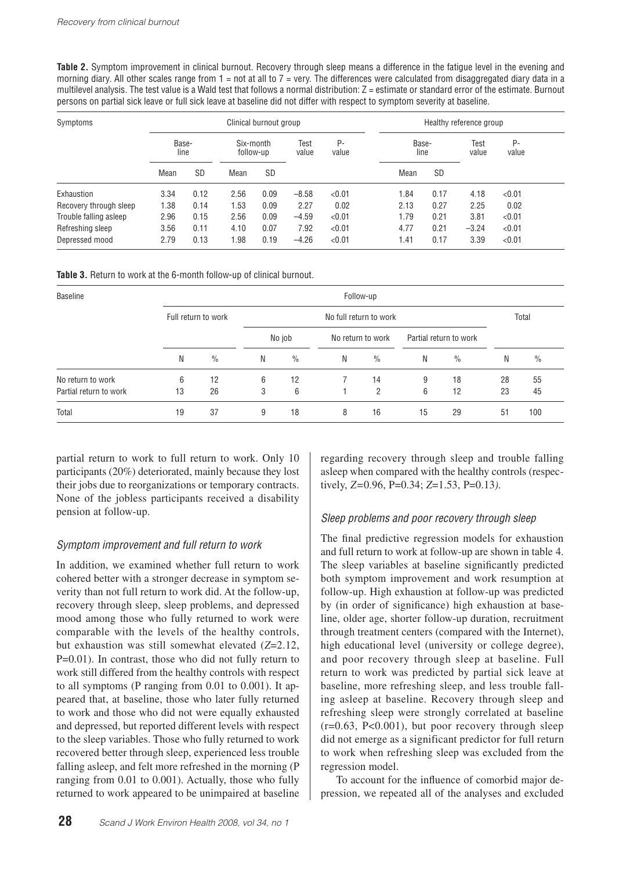**Table 2.** Symptom improvement in clinical burnout. Recovery through sleep means a difference in the fatigue level in the evening and morning diary. All other scales range from  $1 =$  not at all to  $7 =$  very. The differences were calculated from disaggregated diary data in a multilevel analysis. The test value is a Wald test that follows a normal distribution:  $Z =$  estimate or standard error of the estimate. Burnout persons on partial sick leave or full sick leave at baseline did not differ with respect to symptom severity at baseline.

| Symptoms               |               |           |                        | Clinical burnout group |               |             | Healthy reference group |           |               |             |  |
|------------------------|---------------|-----------|------------------------|------------------------|---------------|-------------|-------------------------|-----------|---------------|-------------|--|
|                        | Base-<br>line |           | Six-month<br>follow-up |                        | Test<br>value | P-<br>value | Base-<br>line           |           | Test<br>value | P-<br>value |  |
|                        | Mean          | <b>SD</b> | Mean                   | <b>SD</b>              |               |             | Mean                    | <b>SD</b> |               |             |  |
| Exhaustion             | 3.34          | 0.12      | 2.56                   | 0.09                   | $-8.58$       | < 0.01      | 1.84                    | 0.17      | 4.18          | < 0.01      |  |
| Recovery through sleep | 1.38          | 0.14      | 1.53                   | 0.09                   | 2.27          | 0.02        | 2.13                    | 0.27      | 2.25          | 0.02        |  |
| Trouble falling asleep | 2.96          | 0.15      | 2.56                   | 0.09                   | $-4.59$       | < 0.01      | 1.79                    | 0.21      | 3.81          | < 0.01      |  |
| Refreshing sleep       | 3.56          | 0.11      | 4.10                   | 0.07                   | 7.92          | < 0.01      | 4.77                    | 0.21      | $-3.24$       | < 0.01      |  |
| Depressed mood         | 2.79          | 0.13      | 1.98                   | 0.19                   | $-4.26$       | < 0.01      | .41                     | 0.17      | 3.39          | < 0.01      |  |

Table 3. Return to work at the 6-month follow-up of clinical burnout.

| Baseline               |    | Follow-up           |   |        |       |                   |    |                        |    |      |
|------------------------|----|---------------------|---|--------|-------|-------------------|----|------------------------|----|------|
|                        |    | Full return to work |   |        | Total |                   |    |                        |    |      |
|                        |    |                     |   | No job |       | No return to work |    | Partial return to work |    |      |
|                        | Ν  | $\frac{0}{0}$       | N | $\%$   | N     | $\%$              | Ν  | $\frac{0}{0}$          | Ν  | $\%$ |
| No return to work      | 6  | 12                  | 6 | 12     |       | 14                | 9  | 18                     | 28 | 55   |
| Partial return to work | 13 | 26                  | 3 | 6      |       | 2                 | 6  | 12                     | 23 | 45   |
| Total                  | 19 | 37                  | 9 | 18     | 8     | 16                | 15 | 29                     | 51 | 100  |

partial return to work to full return to work. Only 10 participants (20%) deteriorated, mainly because they lost their jobs due to reorganizations or temporary contracts. None of the jobless participants received a disability pension at follow-up.

# *Symptom improvement and full return to work*

In addition, we examined whether full return to work cohered better with a stronger decrease in symptom severity than not full return to work did. At the follow-up, recovery through sleep, sleep problems, and depressed mood among those who fully returned to work were comparable with the levels of the healthy controls, but exhaustion was still somewhat elevated (*Z*=2.12, P=0.01). In contrast, those who did not fully return to work still differed from the healthy controls with respect to all symptoms (P ranging from 0.01 to 0.001). It appeared that, at baseline, those who later fully returned to work and those who did not were equally exhausted and depressed, but reported different levels with respect to the sleep variables. Those who fully returned to work recovered better through sleep, experienced less trouble falling asleep, and felt more refreshed in the morning (P ranging from 0.01 to 0.001). Actually, those who fully returned to work appeared to be unimpaired at baseline regarding recovery through sleep and trouble falling asleep when compared with the healthy controls (respectively, *Z=*0.96, P=0.34; *Z*=1.53, P=0.13*).* 

# *Sleep problems and poor recovery through sleep*

The final predictive regression models for exhaustion and full return to work at follow-up are shown in table 4. The sleep variables at baseline significantly predicted both symptom improvement and work resumption at follow-up. High exhaustion at follow-up was predicted by (in order of significance) high exhaustion at baseline, older age, shorter follow-up duration, recruitment through treatment centers (compared with the Internet), high educational level (university or college degree), and poor recovery through sleep at baseline. Full return to work was predicted by partial sick leave at baseline, more refreshing sleep, and less trouble falling asleep at baseline. Recovery through sleep and refreshing sleep were strongly correlated at baseline  $(r=0.63, P<0.001)$ , but poor recovery through sleep did not emerge as a significant predictor for full return to work when refreshing sleep was excluded from the regression model.

To account for the influence of comorbid major depression, we repeated all of the analyses and excluded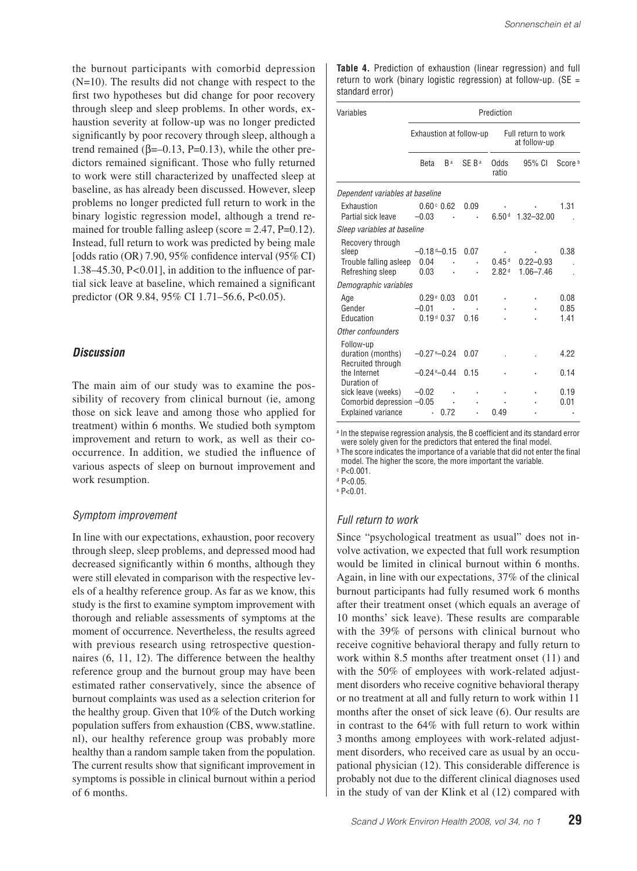the burnout participants with comorbid depression  $(N=10)$ . The results did not change with respect to the first two hypotheses but did change for poor recovery through sleep and sleep problems. In other words, exhaustion severity at follow-up was no longer predicted significantly by poor recovery through sleep, although a trend remained ( $\beta$ =–0.13, P=0.13), while the other predictors remained significant. Those who fully returned to work were still characterized by unaffected sleep at baseline, as has already been discussed. However, sleep problems no longer predicted full return to work in the binary logistic regression model, although a trend remained for trouble falling asleep (score  $= 2.47$ ,  $P=0.12$ ). Instead, full return to work was predicted by being male [odds ratio (OR) 7.90, 95% confidence interval (95% CI) 1.38–45.30, P*<*0.01], in addition to the influence of partial sick leave at baseline, which remained a significant predictor (OR 9.84, 95% CI 1.71–56.6, P<0.05).

## *Discussion*

The main aim of our study was to examine the possibility of recovery from clinical burnout (ie, among those on sick leave and among those who applied for treatment) within 6 months. We studied both symptom improvement and return to work, as well as their cooccurrence. In addition, we studied the influence of various aspects of sleep on burnout improvement and work resumption.

#### *Symptom improvement*

In line with our expectations, exhaustion, poor recovery through sleep, sleep problems, and depressed mood had decreased significantly within 6 months, although they were still elevated in comparison with the respective levels of a healthy reference group. As far as we know, this study is the first to examine symptom improvement with thorough and reliable assessments of symptoms at the moment of occurrence. Nevertheless, the results agreed with previous research using retrospective questionnaires (6, 11, 12). The difference between the healthy reference group and the burnout group may have been estimated rather conservatively, since the absence of burnout complaints was used as a selection criterion for the healthy group. Given that 10% of the Dutch working population suffers from exhaustion (CBS, www.statline. nl), our healthy reference group was probably more healthy than a random sample taken from the population. The current results show that significant improvement in symptoms is possible in clinical burnout within a period of 6 months.

**Table 4.** Prediction of exhaustion (linear regression) and full return to work (binary logistic regression) at follow-up. ( $SE =$ standard error)

| Variables                                                                    | Prediction                                               |                |                         |                                        |                                |                      |  |  |  |  |
|------------------------------------------------------------------------------|----------------------------------------------------------|----------------|-------------------------|----------------------------------------|--------------------------------|----------------------|--|--|--|--|
|                                                                              |                                                          |                | Exhaustion at follow-up | Full return to work<br>at follow-up    |                                |                      |  |  |  |  |
|                                                                              | Beta                                                     | R <sub>a</sub> | SE B <sup>a</sup>       | Odds<br>ratio                          | $95%$ CI                       | Score <sup>b</sup>   |  |  |  |  |
| Dependent variables at baseline                                              |                                                          |                |                         |                                        |                                |                      |  |  |  |  |
| Exhaustion<br>Partial sick leave                                             | $0.60 \circ 0.62$<br>$-0.03$                             | ٠              | 0.09                    | 6.50 <sup>d</sup>                      | $1.32 - 32.00$                 | 1 31                 |  |  |  |  |
| Sleep variables at baseline                                                  |                                                          |                |                         |                                        |                                |                      |  |  |  |  |
| Recovery through<br>sleep<br>Trouble falling asleep<br>Refreshing sleep      | –0.18 ª–0.15<br>0.04<br>0.03                             |                | 0.07                    | 0.45 <sup>d</sup><br>2.82 <sup>d</sup> | $0.22 - 0.93$<br>$1.06 - 7.46$ | 0.38                 |  |  |  |  |
| Demographic variables                                                        |                                                          |                |                         |                                        |                                |                      |  |  |  |  |
| Age<br>Gender<br>Education                                                   | $0.29 \text{ }^{\circ}$ 0.03<br>$-0.01$<br>$0.19 d$ 0.37 |                | 0.01<br>0.16            |                                        |                                | 0.08<br>0.85<br>1.41 |  |  |  |  |
| Other confounders                                                            |                                                          |                |                         |                                        |                                |                      |  |  |  |  |
| Follow-up<br>duration (months)<br>Recruited through                          | $-0.27$ ° $-0.24$                                        |                | 0.07                    |                                        |                                | 4 22                 |  |  |  |  |
| the Internet<br>Duration of                                                  | $-0.24$ ° $-0.44$                                        |                | 0.15                    |                                        |                                | 0.14                 |  |  |  |  |
| sick leave (weeks)<br>Comorbid depression -0.05<br><b>Explained variance</b> | $-0.02$                                                  | 0.72           |                         | በ 49                                   |                                | 0.19<br>0.01         |  |  |  |  |

a In the stepwise regression analysis, the B coefficient and its standard error were solely given for the predictors that entered the final model.

b The score indicates the importance of a variable that did not enter the final model. The higher the score, the more important the variable.

 $\degree$  P<0.001.

 $d$  P<0.05

e P<0.01.

#### *Full return to work*

Since "psychological treatment as usual" does not involve activation, we expected that full work resumption would be limited in clinical burnout within 6 months. Again, in line with our expectations, 37% of the clinical burnout participants had fully resumed work 6 months after their treatment onset (which equals an average of 10 months' sick leave). These results are comparable with the 39% of persons with clinical burnout who receive cognitive behavioral therapy and fully return to work within 8.5 months after treatment onset (11) and with the 50% of employees with work-related adjustment disorders who receive cognitive behavioral therapy or no treatment at all and fully return to work within 11 months after the onset of sick leave (6). Our results are in contrast to the 64% with full return to work within 3 months among employees with work-related adjustment disorders, who received care as usual by an occupational physician (12). This considerable difference is probably not due to the different clinical diagnoses used in the study of van der Klink et al (12) compared with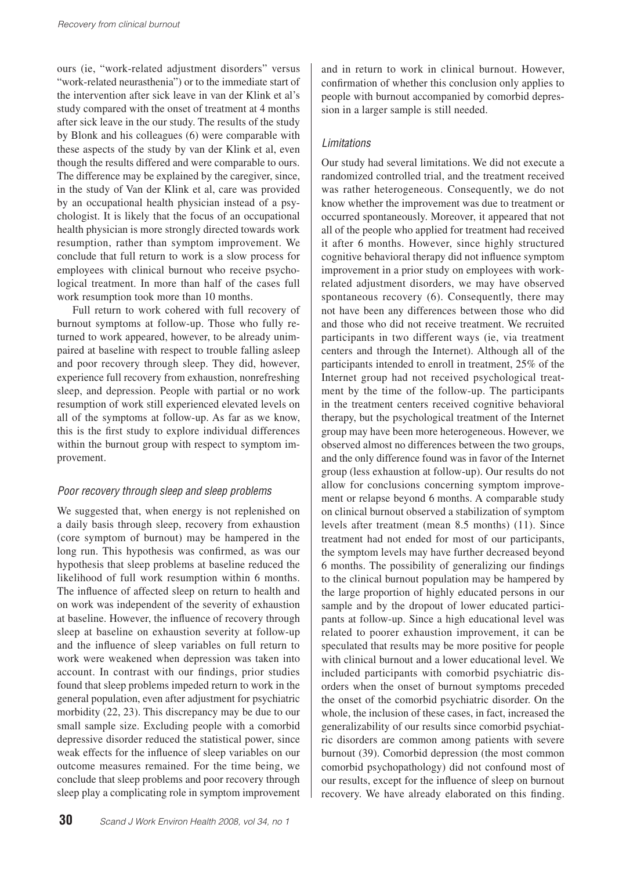ours (ie, "work-related adjustment disorders" versus "work-related neurasthenia") or to the immediate start of the intervention after sick leave in van der Klink et al's study compared with the onset of treatment at 4 months after sick leave in the our study. The results of the study by Blonk and his colleagues (6) were comparable with these aspects of the study by van der Klink et al, even though the results differed and were comparable to ours. The difference may be explained by the caregiver, since, in the study of Van der Klink et al, care was provided by an occupational health physician instead of a psychologist. It is likely that the focus of an occupational health physician is more strongly directed towards work resumption, rather than symptom improvement. We conclude that full return to work is a slow process for employees with clinical burnout who receive psychological treatment. In more than half of the cases full work resumption took more than 10 months.

Full return to work cohered with full recovery of burnout symptoms at follow-up. Those who fully returned to work appeared, however, to be already unimpaired at baseline with respect to trouble falling asleep and poor recovery through sleep. They did, however, experience full recovery from exhaustion, nonrefreshing sleep, and depression. People with partial or no work resumption of work still experienced elevated levels on all of the symptoms at follow-up. As far as we know, this is the first study to explore individual differences within the burnout group with respect to symptom improvement.

## *Poor recovery through sleep and sleep problems*

We suggested that, when energy is not replenished on a daily basis through sleep, recovery from exhaustion (core symptom of burnout) may be hampered in the long run. This hypothesis was confirmed, as was our hypothesis that sleep problems at baseline reduced the likelihood of full work resumption within 6 months. The influence of affected sleep on return to health and on work was independent of the severity of exhaustion at baseline. However, the influence of recovery through sleep at baseline on exhaustion severity at follow-up and the influence of sleep variables on full return to work were weakened when depression was taken into account. In contrast with our findings, prior studies found that sleep problems impeded return to work in the general population, even after adjustment for psychiatric morbidity (22, 23). This discrepancy may be due to our small sample size. Excluding people with a comorbid depressive disorder reduced the statistical power, since weak effects for the influence of sleep variables on our outcome measures remained. For the time being, we conclude that sleep problems and poor recovery through sleep play a complicating role in symptom improvement

and in return to work in clinical burnout. However, confirmation of whether this conclusion only applies to people with burnout accompanied by comorbid depression in a larger sample is still needed.

## *Limitations*

Our study had several limitations. We did not execute a randomized controlled trial, and the treatment received was rather heterogeneous. Consequently, we do not know whether the improvement was due to treatment or occurred spontaneously. Moreover, it appeared that not all of the people who applied for treatment had received it after 6 months. However, since highly structured cognitive behavioral therapy did not influence symptom improvement in a prior study on employees with workrelated adjustment disorders, we may have observed spontaneous recovery (6). Consequently, there may not have been any differences between those who did and those who did not receive treatment. We recruited participants in two different ways (ie, via treatment centers and through the Internet). Although all of the participants intended to enroll in treatment, 25% of the Internet group had not received psychological treatment by the time of the follow-up. The participants in the treatment centers received cognitive behavioral therapy, but the psychological treatment of the Internet group may have been more heterogeneous. However, we observed almost no differences between the two groups, and the only difference found was in favor of the Internet group (less exhaustion at follow-up). Our results do not allow for conclusions concerning symptom improvement or relapse beyond 6 months. A comparable study on clinical burnout observed a stabilization of symptom levels after treatment (mean 8.5 months) (11). Since treatment had not ended for most of our participants, the symptom levels may have further decreased beyond 6 months. The possibility of generalizing our findings to the clinical burnout population may be hampered by the large proportion of highly educated persons in our sample and by the dropout of lower educated participants at follow-up. Since a high educational level was related to poorer exhaustion improvement, it can be speculated that results may be more positive for people with clinical burnout and a lower educational level. We included participants with comorbid psychiatric disorders when the onset of burnout symptoms preceded the onset of the comorbid psychiatric disorder. On the whole, the inclusion of these cases, in fact, increased the generalizability of our results since comorbid psychiatric disorders are common among patients with severe burnout (39). Comorbid depression (the most common comorbid psychopathology) did not confound most of our results, except for the influence of sleep on burnout recovery. We have already elaborated on this finding.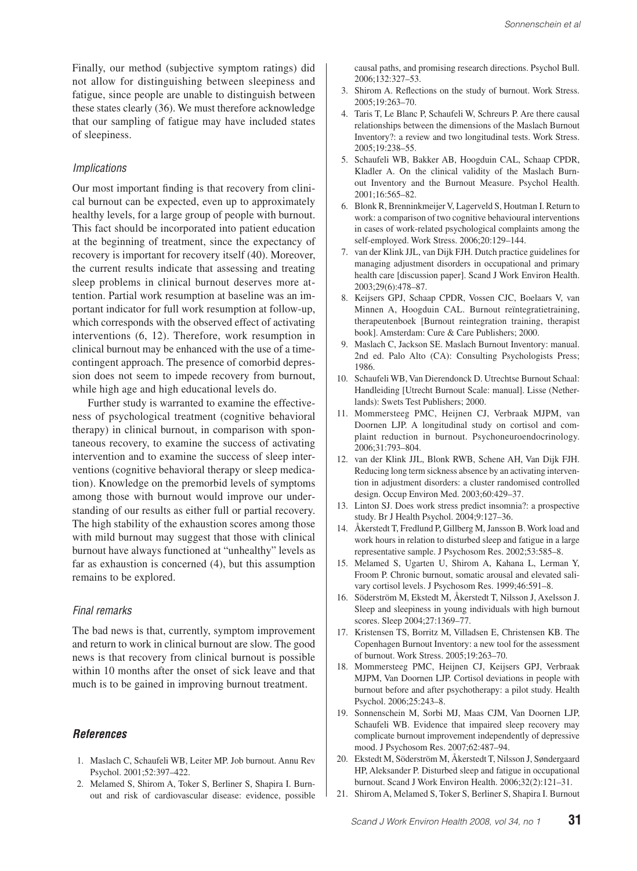Finally, our method (subjective symptom ratings) did not allow for distinguishing between sleepiness and fatigue, since people are unable to distinguish between these states clearly (36). We must therefore acknowledge that our sampling of fatigue may have included states of sleepiness.

#### *Implications*

Our most important finding is that recovery from clinical burnout can be expected, even up to approximately healthy levels, for a large group of people with burnout. This fact should be incorporated into patient education at the beginning of treatment, since the expectancy of recovery is important for recovery itself (40). Moreover, the current results indicate that assessing and treating sleep problems in clinical burnout deserves more attention. Partial work resumption at baseline was an important indicator for full work resumption at follow-up, which corresponds with the observed effect of activating interventions (6, 12). Therefore, work resumption in clinical burnout may be enhanced with the use of a timecontingent approach. The presence of comorbid depression does not seem to impede recovery from burnout, while high age and high educational levels do.

Further study is warranted to examine the effectiveness of psychological treatment (cognitive behavioral therapy) in clinical burnout, in comparison with spontaneous recovery, to examine the success of activating intervention and to examine the success of sleep interventions (cognitive behavioral therapy or sleep medication). Knowledge on the premorbid levels of symptoms among those with burnout would improve our understanding of our results as either full or partial recovery. The high stability of the exhaustion scores among those with mild burnout may suggest that those with clinical burnout have always functioned at "unhealthy" levels as far as exhaustion is concerned (4), but this assumption remains to be explored.

#### *Final remarks*

The bad news is that, currently, symptom improvement and return to work in clinical burnout are slow. The good news is that recovery from clinical burnout is possible within 10 months after the onset of sick leave and that much is to be gained in improving burnout treatment.

#### *References*

- 1. Maslach C, Schaufeli WB, Leiter MP. Job burnout. Annu Rev Psychol. 2001;52:397–422.
- 2. Melamed S, Shirom A, Toker S, Berliner S, Shapira I. Burnout and risk of cardiovascular disease: evidence, possible

causal paths, and promising research directions. Psychol Bull. 2006;132:327–53.

- 3. Shirom A. Reflections on the study of burnout. Work Stress. 2005;19:263–70.
- 4. Taris T, Le Blanc P, Schaufeli W, Schreurs P. Are there causal relationships between the dimensions of the Maslach Burnout Inventory?: a review and two longitudinal tests. Work Stress. 2005;19:238–55.
- 5. Schaufeli WB, Bakker AB, Hoogduin CAL, Schaap CPDR, Kladler A. On the clinical validity of the Maslach Burnout Inventory and the Burnout Measure. Psychol Health. 2001;16:565–82.
- 6. Blonk R, Brenninkmeijer V, Lagerveld S, Houtman I. Return to work: a comparison of two cognitive behavioural interventions in cases of work-related psychological complaints among the self-employed. Work Stress. 2006;20:129–144.
- 7. van der Klink JJL, van Dijk FJH. Dutch practice guidelines for managing adjustment disorders in occupational and primary health care [discussion paper]. Scand J Work Environ Health. 2003;29(6):478–87.
- 8. Keijsers GPJ, Schaap CPDR, Vossen CJC, Boelaars V, van Minnen A, Hoogduin CAL. Burnout reïntegratietraining, therapeutenboek [Burnout reintegration training, therapist book]. Amsterdam: Cure & Care Publishers; 2000.
- 9. Maslach C, Jackson SE. Maslach Burnout Inventory: manual. 2nd ed. Palo Alto (CA): Consulting Psychologists Press; 1986.
- 10. Schaufeli WB, Van Dierendonck D. Utrechtse Burnout Schaal: Handleiding [Utrecht Burnout Scale: manual]. Lisse (Netherlands): Swets Test Publishers; 2000.
- 11. Mommersteeg PMC, Heijnen CJ, Verbraak MJPM, van Doornen LJP. A longitudinal study on cortisol and complaint reduction in burnout. Psychoneuroendocrinology. 2006;31:793–804.
- 12. van der Klink JJL, Blonk RWB, Schene AH, Van Dijk FJH. Reducing long term sickness absence by an activating intervention in adjustment disorders: a cluster randomised controlled design. Occup Environ Med. 2003;60:429–37.
- 13. Linton SJ. Does work stress predict insomnia?: a prospective study. Br J Health Psychol. 2004;9:127–36.
- 14. Åkerstedt T, Fredlund P, Gillberg M, Jansson B. Work load and work hours in relation to disturbed sleep and fatigue in a large representative sample. J Psychosom Res. 2002;53:585–8.
- 15. Melamed S, Ugarten U, Shirom A, Kahana L, Lerman Y, Froom P. Chronic burnout, somatic arousal and elevated salivary cortisol levels. J Psychosom Res. 1999;46:591–8.
- 16. Söderström M, Ekstedt M, Åkerstedt T, Nilsson J, Axelsson J. Sleep and sleepiness in young individuals with high burnout scores. Sleep 2004;27:1369–77.
- 17. Kristensen TS, Borritz M, Villadsen E, Christensen KB. The Copenhagen Burnout Inventory: a new tool for the assessment of burnout. Work Stress. 2005;19:263–70.
- 18. Mommersteeg PMC, Heijnen CJ, Keijsers GPJ, Verbraak MJPM, Van Doornen LJP. Cortisol deviations in people with burnout before and after psychotherapy: a pilot study. Health Psychol. 2006;25:243–8.
- 19. Sonnenschein M, Sorbi MJ, Maas CJM, Van Doornen LJP, Schaufeli WB. Evidence that impaired sleep recovery may complicate burnout improvement independently of depressive mood. J Psychosom Res. 2007;62:487–94.
- 20. Ekstedt M, Söderström M, Åkerstedt T, Nilsson J, Søndergaard HP, Aleksander P. Disturbed sleep and fatigue in occupational burnout. Scand J Work Environ Health. 2006;32(2):121–31.
- 21. Shirom A, Melamed S, Toker S, Berliner S, Shapira I. Burnout